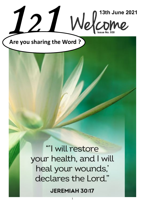

**Are you sharing the Word ?**

"I will restore your health, and I will heal your wounds,' declares the Lord."

**JEREMIAH 30:17** 

1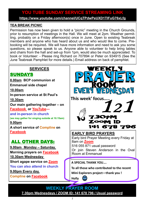# **YOU TUBE SUNDAY SERVICE STREAMING LINK YOU TUBE SUNDAY SERVICE STREAMING LINK**

**[https://www.youtube.com/channel/UCqTPdwPeUXD1TIFuG76xLfg](https://nam12.safelinks.protection.outlook.com/?url=https%3A%2F%2Fwww.youtube.com%2Fchannel%2FUCqTPdwPeUXD1TIFuG76xLfg&data=04%7C01%7C%7C98819de32b254e54143f08d89b609eed%7C84df9e7fe9f640afb435aaaaaaaaaaaa%7C1%7C0%7C637430186562964999%7CUnknown%7CTWFpbGZsb3d8e) <https://www.youtube.com/channel/UCqTPdwPeUXD1TIFuG76xLfg>**

#### **TEA BREAK PICNIC**

Permission has now been given to hold a "picnic" meeting in the Church Grounds, prior to resumption of meetings in the Hall. We will meet at 2pm. Weather permitting, probably on a Friday afternoon(s) once in June. Open to existing Teabreak members and anyone who has heard about us and who would like to come. Prebooking will be required**.** We will have more information and need to ask you some questions, so please speak to us. Anyone able to volunteer to help bring tables and chairs from the hall and set-up from 1pm, would also be much appreciated. To book or Volunteer: - Please ring Richard on 707894 or Peter on 934915 (See the June Teabreak Pamphlet for more details.) Email address on back of pamphlet.

### **SERVICES**

## **SUNDAYS**

**8.00am BCP communion at** 

**Emmanuel side chapel**

**10.00am**

**In-person service at St Paul's** 

**10.30am**

**Our main gathering together – on [Facebook](https://www.facebook.com/emmanuelwithstpauls/) or [YouTube—](https://www.youtube.com/channel/UCqTPdwPeUXD1TIFuG76xLfg)**

**and in-person in church**

**(we may gather for singing outside at 10.15am) 9.00pm**

**A short service of [Compline](https://www.emmanuelplymouth.co.uk/Publisher/File.aspx?ID=259665) on [Facebook](https://www.facebook.com/emmanuelwithstpauls/)**

## ALL OTHER DAYS:

**9.00am Monday – Saturday**, **Morning prayers on [Facebook](https://www.facebook.com/emmanuelwithstpauls/) 10.30am Wednesday**

**Short agape service on [Zoom](https://us02web.zoom.us/j/87669471222?pwd=amNNVGJ4QmtIeFhlTlFmRTRTV29ndz09) You can also attend in church**

**9.00pm Every day,**

**[Compline](https://www.emmanuelplymouth.co.uk/Publisher/File.aspx?ID=259665) on [Facebook](https://www.facebook.com/emmanuelwithstpauls/)**

EWER ERDAY **This week' focus[…..](https://emmanuelsp.churchinsight.com/Publisher/File.aspx?ID=284163)** 727 **7.30PM ZOOM ID** 141 678 796 **EARLY BIRD PRAYERS** Early bird Prayer Meeting every Friday at 8am on **[Zoom](https://us02web.zoom.us/j/87286367757?pwd=d1RRYTVWNG5SMUNDMUhoRmY2RlNBUT09)** 516 055 871 usual password Or join Steven Anderson in the Oval Room at Emmanuel

**A SPECIAL THANK YOU….**

**To all those who contributed to the recent** 

**Mini Explorers project—thank you !**

**Holly** 

**WEEKLY PRAYER ROOM [7.30pm Wednesdays / ZOOM ID: 141 678 796 / Usual password](https://us04web.zoom.us/j/141678796?pwd=VERURTVtcWQzbkZvdXFRMnJpKzg3dz09)**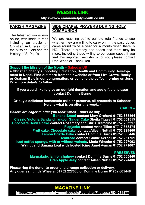## **WEBSITE LINK WEBSITE LINK**

#### **https://www.emmanuelplymouth.co.uk/ <https://www.emmanuelplymouth.co.uk/>**

#### **PARISH MAGAZINE**

The latest edition is now online, with loads to read including an article on Christian Aid, Tales from the Mission Field and the History of St Paul's.

#### **SIDE CHAPEL PRAYERS DURING HOLY COMMUNION**

We are reaching out to our old rota friends to see whether they are willing to carry on. In the past, duties came round twice a year for a month when there is HC. There is already one space and there may be more, including those willing to be 'super subs'. If you feel this important ministry is for you please contact Ron Wheeler. Thank You.

#### **Support the Mission of the Month – [Sahodar.UK](https://sahodaruk.weebly.com/)**

**a Christian charity supporting Education, Health and Community Development in Nepal. Find out more from their website or from Liza Crewe, Becky or Graham Bale in our congregation, or come to the coffee morning on June 27 –** *more details to follow*

**If you would like to give an outright donation and add gift aid, please contact Dominie Burns**

**Or buy a delicious homemade cake or preserve, all proceeds to Sahodar. Here is what is on offer this week: -**

**CAKES –**

*Bakers are eager to offer you their wares – don't be shy*

**Banana Bread contact Mary Orchard 01752 668564 Classic Victoria Sandwich and/or Ginger Cake Sheila Tigwell 01752 651515 Chocolate Devil's cake contact Rosemary and Chris Tremaine 01752 263217 Flapjacks contact Anne Tillett 07717 378474 Fruit cake, Chocolate cake, contact Aileen Nuttall 01752 224400 Lemon Drizzle Cake contact Dominie Burns 01752 665446 Teabread contact Ginnie Serpell 01752 261751 Iced coffee sponge, with or without walnuts, Linda Wheeler 01752 227003 Walnut and Banana Loaf with frosted Icing Janet Asman 01752 771067**

#### **PRESERVES**

**Marmalade, jam or chutney contact Dominie Burns 01752 665446 Crab Apple Jelly contact Aileen Nuttall 01752 224400**

**Please ring the donor to order and arrange collection or delivery. Any queries: Linda Wheeler 01752 227003 or Dominie Burns 01752 665446**

### **MAGAZINE LINK**

**<https://www.emmanuelplymouth.co.uk/Publisher/File.aspx?ID=284577>**